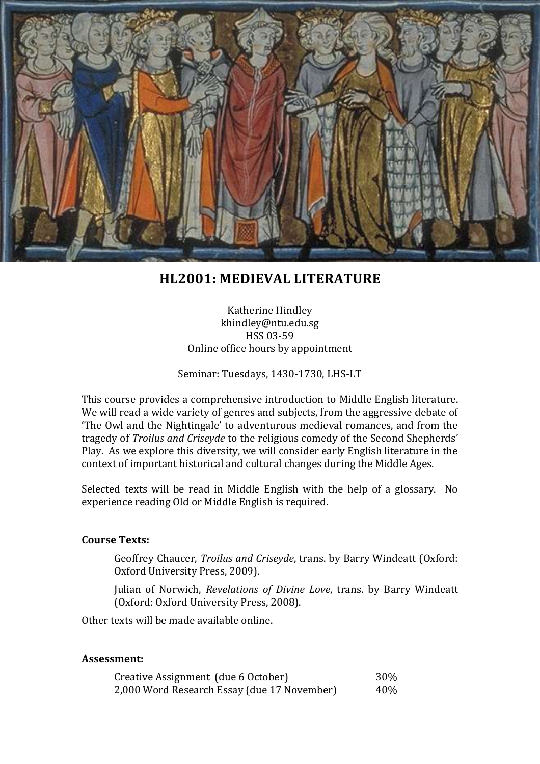

# **HL2001: MEDIEVAL LITERATURE**

Katherine Hindley khindley@ntu.edu.sg HSS 03-59 Online office hours by appointment

Seminar: Tuesdays, 1430-1730, LHS-LT

This course provides a comprehensive introduction to Middle English literature. We will read a wide variety of genres and subjects, from the aggressive debate of 'The Owl and the Nightingale' to adventurous medieval romances, and from the tragedy of *Troilus and Criseyde* to the religious comedy of the Second Shepherds' Play. As we explore this diversity, we will consider early English literature in the context of important historical and cultural changes during the Middle Ages.

Selected texts will be read in Middle English with the help of a glossary. No experience reading Old or Middle English is required.

#### **Course Texts:**

Geoffrey Chaucer, *Troilus and Criseyde*, trans. by Barry Windeatt (Oxford: Oxford University Press, 2009).

Julian of Norwich, *Revelations of Divine Love*, trans. by Barry Windeatt (Oxford: Oxford University Press, 2008).

Other texts will be made available online.

#### **Assessment:**

| Creative Assignment (due 6 October)         | 30% |
|---------------------------------------------|-----|
| 2,000 Word Research Essay (due 17 November) | 40% |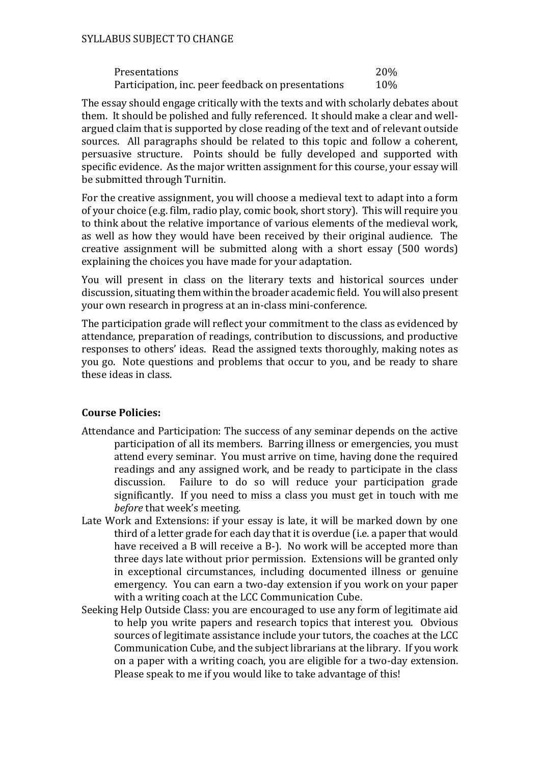#### SYLLABUS SUBJECT TO CHANGE

| Presentations                                      | 20% |
|----------------------------------------------------|-----|
| Participation, inc. peer feedback on presentations | 10% |

The essay should engage critically with the texts and with scholarly debates about them. It should be polished and fully referenced. It should make a clear and wellargued claim that is supported by close reading of the text and of relevant outside sources. All paragraphs should be related to this topic and follow a coherent, persuasive structure. Points should be fully developed and supported with specific evidence. As the major written assignment for this course, your essay will be submitted through Turnitin.

For the creative assignment, you will choose a medieval text to adapt into a form of your choice (e.g. film, radio play, comic book, short story). This will require you to think about the relative importance of various elements of the medieval work, as well as how they would have been received by their original audience. The creative assignment will be submitted along with a short essay (500 words) explaining the choices you have made for your adaptation.

You will present in class on the literary texts and historical sources under discussion, situating them within the broader academic field. You will also present your own research in progress at an in-class mini-conference.

The participation grade will reflect your commitment to the class as evidenced by attendance, preparation of readings, contribution to discussions, and productive responses to others' ideas. Read the assigned texts thoroughly, making notes as you go. Note questions and problems that occur to you, and be ready to share these ideas in class.

### **Course Policies:**

- Attendance and Participation: The success of any seminar depends on the active participation of all its members. Barring illness or emergencies, you must attend every seminar. You must arrive on time, having done the required readings and any assigned work, and be ready to participate in the class discussion. Failure to do so will reduce your participation grade significantly. If you need to miss a class you must get in touch with me *before* that week's meeting.
- Late Work and Extensions: if your essay is late, it will be marked down by one third of a letter grade for each day that it is overdue (i.e. a paper that would have received a B will receive a B-). No work will be accepted more than three days late without prior permission. Extensions will be granted only in exceptional circumstances, including documented illness or genuine emergency. You can earn a two-day extension if you work on your paper with a writing coach at the LCC Communication Cube.
- Seeking Help Outside Class: you are encouraged to use any form of legitimate aid to help you write papers and research topics that interest you. Obvious sources of legitimate assistance include your tutors, the coaches at the LCC Communication Cube, and the subject librarians at the library. If you work on a paper with a writing coach, you are eligible for a two-day extension. Please speak to me if you would like to take advantage of this!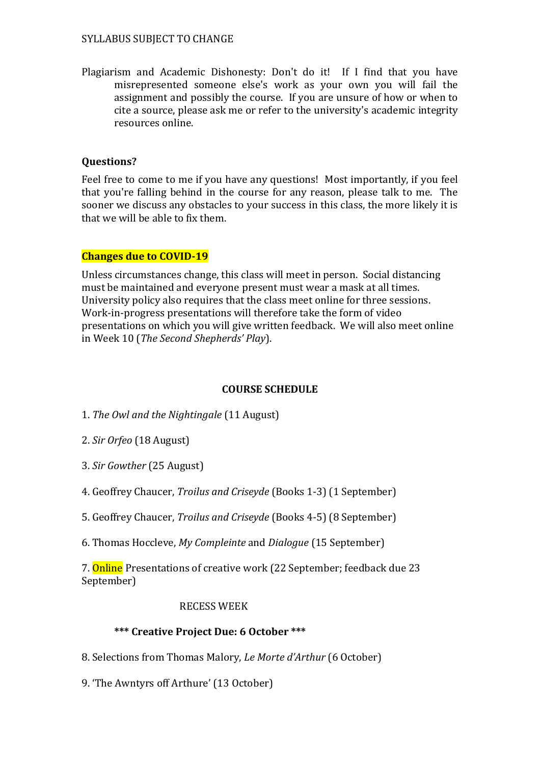#### SYLLABUS SUBJECT TO CHANGE

Plagiarism and Academic Dishonesty: Don't do it! If I find that you have misrepresented someone else's work as your own you will fail the assignment and possibly the course. If you are unsure of how or when to cite a source, please ask me or refer to the university's academic integrity resources online.

### **Questions?**

Feel free to come to me if you have any questions! Most importantly, if you feel that you're falling behind in the course for any reason, please talk to me. The sooner we discuss any obstacles to your success in this class, the more likely it is that we will be able to fix them.

### **Changes due to COVID-19**

Unless circumstances change, this class will meet in person. Social distancing must be maintained and everyone present must wear a mask at all times. University policy also requires that the class meet online for three sessions. Work-in-progress presentations will therefore take the form of video presentations on which you will give written feedback. We will also meet online in Week 10 (*The Second Shepherds' Play*).

### **COURSE SCHEDULE**

1. *The Owl and the Nightingale* (11 August)

- 2. *Sir Orfeo* (18 August)
- 3. *Sir Gowther* (25 August)
- 4. Geoffrey Chaucer, *Troilus and Criseyde* (Books 1-3) (1 September)
- 5. Geoffrey Chaucer, *Troilus and Criseyde* (Books 4-5) (8 September)
- 6. Thomas Hoccleve, *My Compleinte* and *Dialogue* (15 September)

7. Online Presentations of creative work (22 September; feedback due 23 September)

### RECESS WEEK

# **\*\*\* Creative Project Due: 6 October \*\*\***

- 8. Selections from Thomas Malory, *Le Morte d'Arthur* (6 October)
- 9. 'The Awntyrs off Arthure' (13 October)